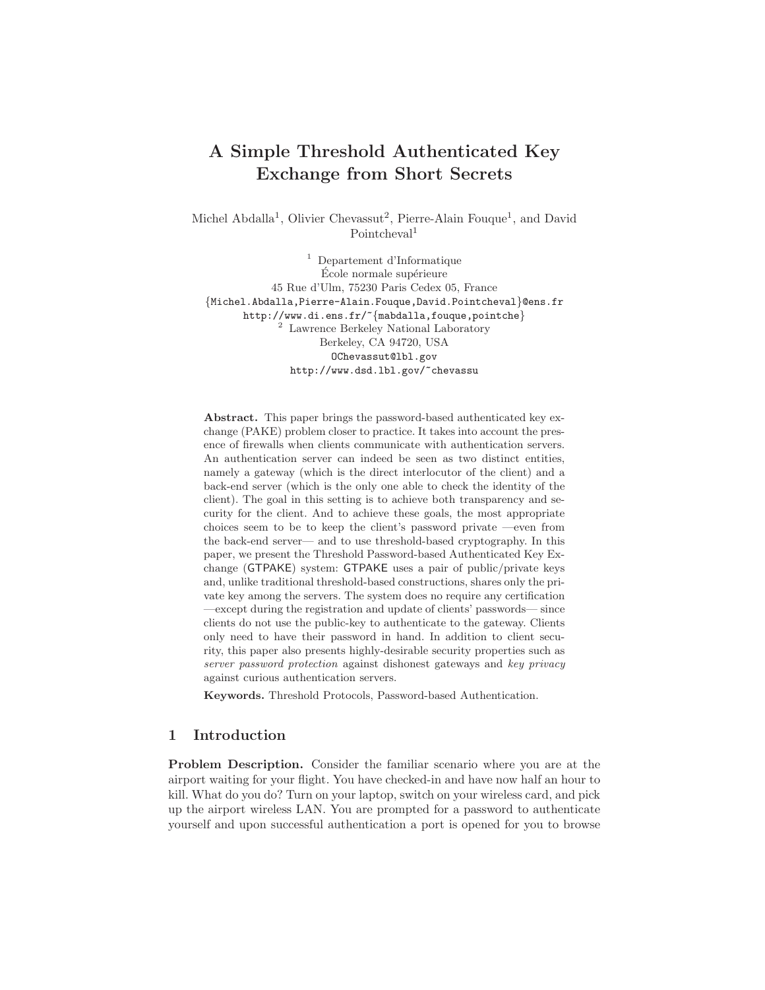# A Simple Threshold Authenticated Key Exchange from Short Secrets

Michel Abdalla<sup>1</sup>, Olivier Chevassut<sup>2</sup>, Pierre-Alain Fouque<sup>1</sup>, and David Pointcheval<sup>1</sup>

<sup>1</sup> Departement d'Informatique École normale supérieure 45 Rue d'Ulm, 75230 Paris Cedex 05, France {Michel.Abdalla,Pierre-Alain.Fouque,David.Pointcheval}@ens.fr http://www.di.ens.fr/~{mabdalla,fouque,pointche} <sup>2</sup> Lawrence Berkeley National Laboratory Berkeley, CA 94720, USA OChevassut@lbl.gov http://www.dsd.lbl.gov/~chevassu

Abstract. This paper brings the password-based authenticated key exchange (PAKE) problem closer to practice. It takes into account the presence of firewalls when clients communicate with authentication servers. An authentication server can indeed be seen as two distinct entities, namely a gateway (which is the direct interlocutor of the client) and a back-end server (which is the only one able to check the identity of the client). The goal in this setting is to achieve both transparency and security for the client. And to achieve these goals, the most appropriate choices seem to be to keep the client's password private —even from the back-end server— and to use threshold-based cryptography. In this paper, we present the Threshold Password-based Authenticated Key Exchange (GTPAKE) system: GTPAKE uses a pair of public/private keys and, unlike traditional threshold-based constructions, shares only the private key among the servers. The system does no require any certification —except during the registration and update of clients' passwords— since clients do not use the public-key to authenticate to the gateway. Clients only need to have their password in hand. In addition to client security, this paper also presents highly-desirable security properties such as server password protection against dishonest gateways and key privacy against curious authentication servers.

Keywords. Threshold Protocols, Password-based Authentication.

# 1 Introduction

Problem Description. Consider the familiar scenario where you are at the airport waiting for your flight. You have checked-in and have now half an hour to kill. What do you do? Turn on your laptop, switch on your wireless card, and pick up the airport wireless LAN. You are prompted for a password to authenticate yourself and upon successful authentication a port is opened for you to browse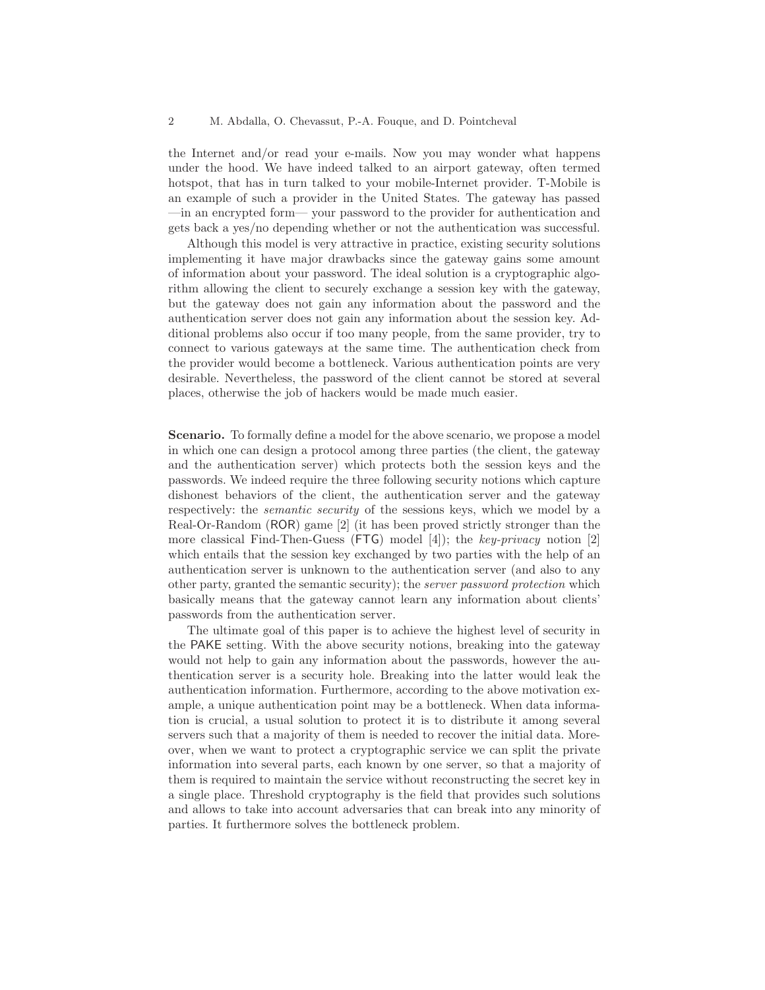the Internet and/or read your e-mails. Now you may wonder what happens under the hood. We have indeed talked to an airport gateway, often termed hotspot, that has in turn talked to your mobile-Internet provider. T-Mobile is an example of such a provider in the United States. The gateway has passed —in an encrypted form— your password to the provider for authentication and gets back a yes/no depending whether or not the authentication was successful.

Although this model is very attractive in practice, existing security solutions implementing it have major drawbacks since the gateway gains some amount of information about your password. The ideal solution is a cryptographic algorithm allowing the client to securely exchange a session key with the gateway, but the gateway does not gain any information about the password and the authentication server does not gain any information about the session key. Additional problems also occur if too many people, from the same provider, try to connect to various gateways at the same time. The authentication check from the provider would become a bottleneck. Various authentication points are very desirable. Nevertheless, the password of the client cannot be stored at several places, otherwise the job of hackers would be made much easier.

Scenario. To formally define a model for the above scenario, we propose a model in which one can design a protocol among three parties (the client, the gateway and the authentication server) which protects both the session keys and the passwords. We indeed require the three following security notions which capture dishonest behaviors of the client, the authentication server and the gateway respectively: the semantic security of the sessions keys, which we model by a Real-Or-Random (ROR) game [2] (it has been proved strictly stronger than the more classical Find-Then-Guess (FTG) model [4]); the key-privacy notion [2] which entails that the session key exchanged by two parties with the help of an authentication server is unknown to the authentication server (and also to any other party, granted the semantic security); the server password protection which basically means that the gateway cannot learn any information about clients' passwords from the authentication server.

The ultimate goal of this paper is to achieve the highest level of security in the PAKE setting. With the above security notions, breaking into the gateway would not help to gain any information about the passwords, however the authentication server is a security hole. Breaking into the latter would leak the authentication information. Furthermore, according to the above motivation example, a unique authentication point may be a bottleneck. When data information is crucial, a usual solution to protect it is to distribute it among several servers such that a majority of them is needed to recover the initial data. Moreover, when we want to protect a cryptographic service we can split the private information into several parts, each known by one server, so that a majority of them is required to maintain the service without reconstructing the secret key in a single place. Threshold cryptography is the field that provides such solutions and allows to take into account adversaries that can break into any minority of parties. It furthermore solves the bottleneck problem.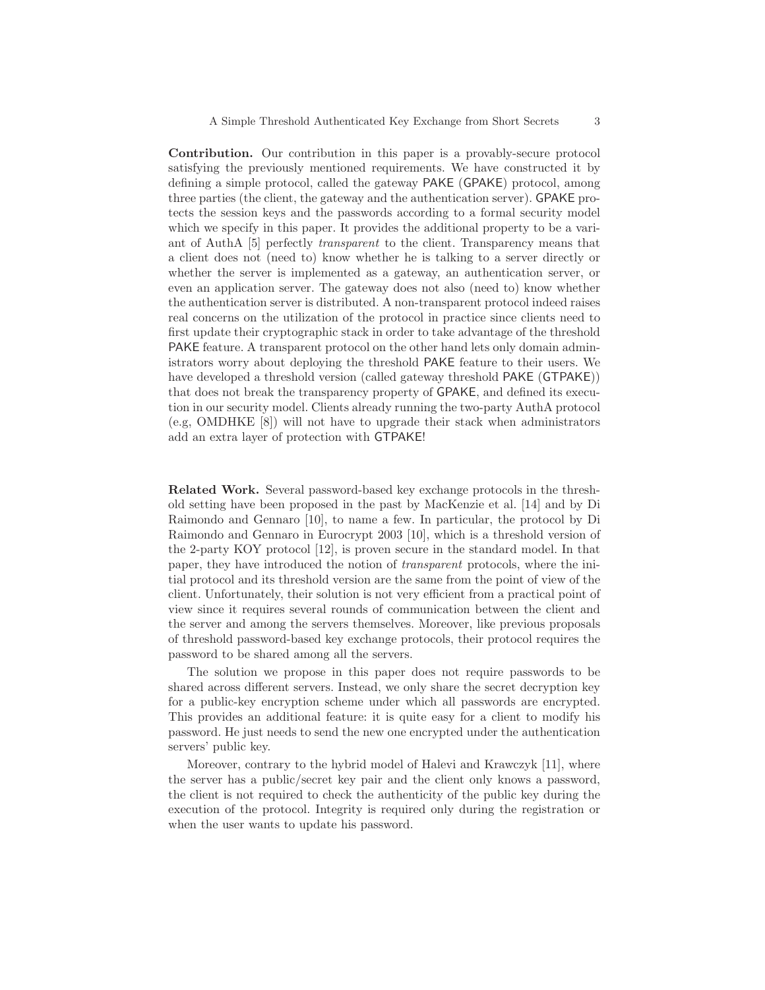Contribution. Our contribution in this paper is a provably-secure protocol satisfying the previously mentioned requirements. We have constructed it by defining a simple protocol, called the gateway PAKE (GPAKE) protocol, among three parties (the client, the gateway and the authentication server). GPAKE protects the session keys and the passwords according to a formal security model which we specify in this paper. It provides the additional property to be a variant of AuthA [5] perfectly transparent to the client. Transparency means that a client does not (need to) know whether he is talking to a server directly or whether the server is implemented as a gateway, an authentication server, or even an application server. The gateway does not also (need to) know whether the authentication server is distributed. A non-transparent protocol indeed raises real concerns on the utilization of the protocol in practice since clients need to first update their cryptographic stack in order to take advantage of the threshold PAKE feature. A transparent protocol on the other hand lets only domain administrators worry about deploying the threshold PAKE feature to their users. We have developed a threshold version (called gateway threshold PAKE (GTPAKE)) that does not break the transparency property of GPAKE, and defined its execution in our security model. Clients already running the two-party AuthA protocol (e.g, OMDHKE [8]) will not have to upgrade their stack when administrators add an extra layer of protection with GTPAKE!

Related Work. Several password-based key exchange protocols in the threshold setting have been proposed in the past by MacKenzie et al. [14] and by Di Raimondo and Gennaro [10], to name a few. In particular, the protocol by Di Raimondo and Gennaro in Eurocrypt 2003 [10], which is a threshold version of the 2-party KOY protocol [12], is proven secure in the standard model. In that paper, they have introduced the notion of transparent protocols, where the initial protocol and its threshold version are the same from the point of view of the client. Unfortunately, their solution is not very efficient from a practical point of view since it requires several rounds of communication between the client and the server and among the servers themselves. Moreover, like previous proposals of threshold password-based key exchange protocols, their protocol requires the password to be shared among all the servers.

The solution we propose in this paper does not require passwords to be shared across different servers. Instead, we only share the secret decryption key for a public-key encryption scheme under which all passwords are encrypted. This provides an additional feature: it is quite easy for a client to modify his password. He just needs to send the new one encrypted under the authentication servers' public key.

Moreover, contrary to the hybrid model of Halevi and Krawczyk [11], where the server has a public/secret key pair and the client only knows a password, the client is not required to check the authenticity of the public key during the execution of the protocol. Integrity is required only during the registration or when the user wants to update his password.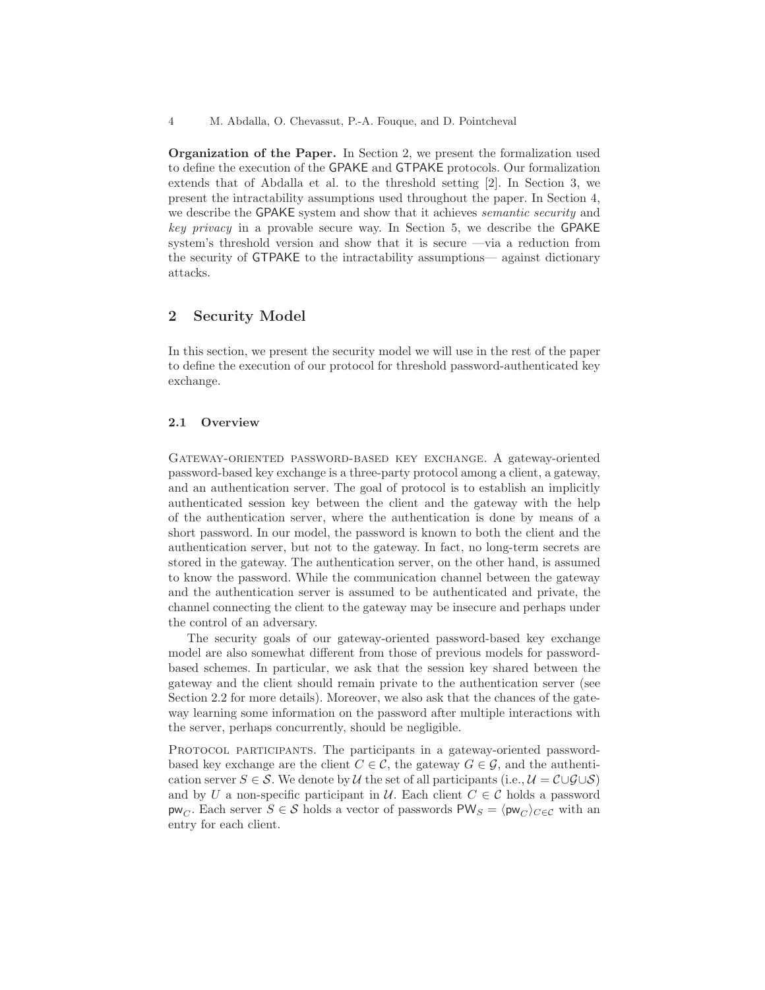4 M. Abdalla, O. Chevassut, P.-A. Fouque, and D. Pointcheval

Organization of the Paper. In Section 2, we present the formalization used to define the execution of the GPAKE and GTPAKE protocols. Our formalization extends that of Abdalla et al. to the threshold setting [2]. In Section 3, we present the intractability assumptions used throughout the paper. In Section 4, we describe the GPAKE system and show that it achieves *semantic security* and key privacy in a provable secure way. In Section 5, we describe the GPAKE system's threshold version and show that it is secure —via a reduction from the security of GTPAKE to the intractability assumptions— against dictionary attacks.

# 2 Security Model

In this section, we present the security model we will use in the rest of the paper to define the execution of our protocol for threshold password-authenticated key exchange.

### 2.1 Overview

Gateway-oriented password-based key exchange. A gateway-oriented password-based key exchange is a three-party protocol among a client, a gateway, and an authentication server. The goal of protocol is to establish an implicitly authenticated session key between the client and the gateway with the help of the authentication server, where the authentication is done by means of a short password. In our model, the password is known to both the client and the authentication server, but not to the gateway. In fact, no long-term secrets are stored in the gateway. The authentication server, on the other hand, is assumed to know the password. While the communication channel between the gateway and the authentication server is assumed to be authenticated and private, the channel connecting the client to the gateway may be insecure and perhaps under the control of an adversary.

The security goals of our gateway-oriented password-based key exchange model are also somewhat different from those of previous models for passwordbased schemes. In particular, we ask that the session key shared between the gateway and the client should remain private to the authentication server (see Section 2.2 for more details). Moreover, we also ask that the chances of the gateway learning some information on the password after multiple interactions with the server, perhaps concurrently, should be negligible.

PROTOCOL PARTICIPANTS. The participants in a gateway-oriented passwordbased key exchange are the client  $C \in \mathcal{C}$ , the gateway  $G \in \mathcal{G}$ , and the authentication server  $S \in \mathcal{S}$ . We denote by U the set of all participants (i.e.,  $\mathcal{U} = \mathcal{C} \cup \mathcal{G} \cup \mathcal{S}$ ) and by U a non-specific participant in U. Each client  $C \in \mathcal{C}$  holds a password  $\mathsf{pw}_C$ . Each server  $S \in \mathcal{S}$  holds a vector of passwords  $\mathsf{PW}_S = \langle \mathsf{pw}_C \rangle_{C \in \mathcal{C}}$  with an entry for each client.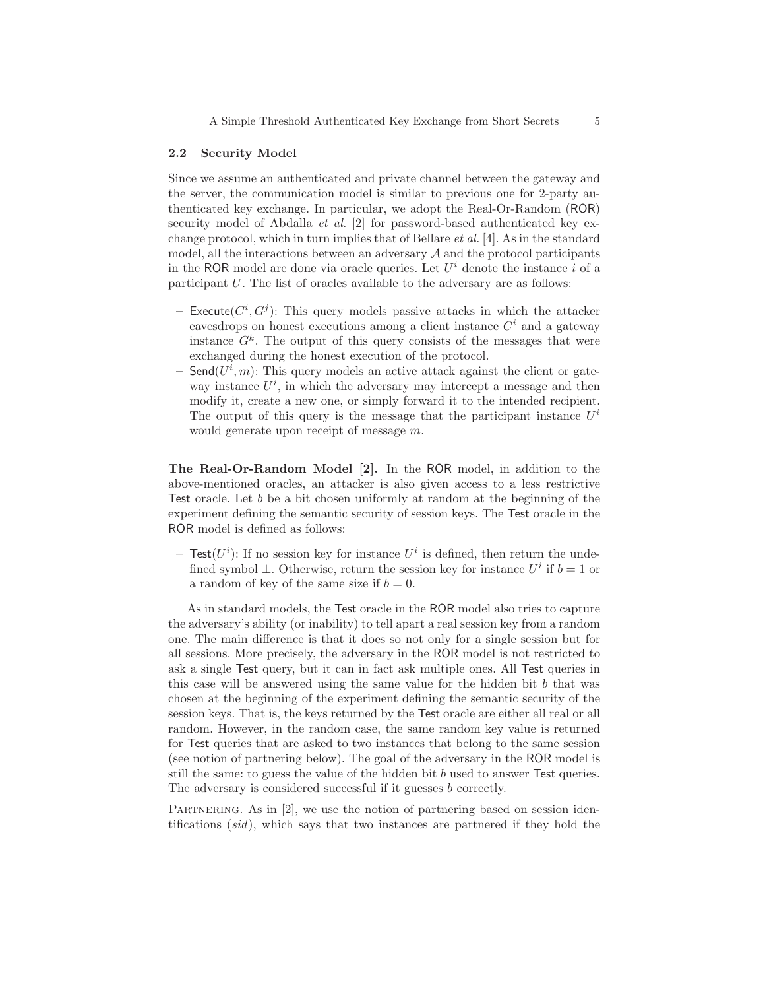### 2.2 Security Model

Since we assume an authenticated and private channel between the gateway and the server, the communication model is similar to previous one for 2-party authenticated key exchange. In particular, we adopt the Real-Or-Random (ROR) security model of Abdalla *et al.* [2] for password-based authenticated key exchange protocol, which in turn implies that of Bellare et al. [4]. As in the standard model, all the interactions between an adversary  $A$  and the protocol participants in the ROR model are done via oracle queries. Let  $U^i$  denote the instance i of a participant U. The list of oracles available to the adversary are as follows:

- Execute $(C^i, G^j)$ : This query models passive attacks in which the attacker eavesdrops on honest executions among a client instance  $C<sup>i</sup>$  and a gateway instance  $G<sup>k</sup>$ . The output of this query consists of the messages that were exchanged during the honest execution of the protocol.
- Send $(U^i, m)$ : This query models an active attack against the client or gateway instance  $U^i$ , in which the adversary may intercept a message and then modify it, create a new one, or simply forward it to the intended recipient. The output of this query is the message that the participant instance  $U^i$ would generate upon receipt of message m.

The Real-Or-Random Model [2]. In the ROR model, in addition to the above-mentioned oracles, an attacker is also given access to a less restrictive Test oracle. Let b be a bit chosen uniformly at random at the beginning of the experiment defining the semantic security of session keys. The Test oracle in the ROR model is defined as follows:

- Test( $U^i$ ): If no session key for instance  $U^i$  is defined, then return the undefined symbol  $\perp$ . Otherwise, return the session key for instance  $U^i$  if  $b = 1$  or a random of key of the same size if  $b = 0$ .

As in standard models, the Test oracle in the ROR model also tries to capture the adversary's ability (or inability) to tell apart a real session key from a random one. The main difference is that it does so not only for a single session but for all sessions. More precisely, the adversary in the ROR model is not restricted to ask a single Test query, but it can in fact ask multiple ones. All Test queries in this case will be answered using the same value for the hidden bit  $b$  that was chosen at the beginning of the experiment defining the semantic security of the session keys. That is, the keys returned by the Test oracle are either all real or all random. However, in the random case, the same random key value is returned for Test queries that are asked to two instances that belong to the same session (see notion of partnering below). The goal of the adversary in the ROR model is still the same: to guess the value of the hidden bit  $b$  used to answer Test queries. The adversary is considered successful if it guesses b correctly.

PARTNERING. As in [2], we use the notion of partnering based on session identifications  $(sid)$ , which says that two instances are partnered if they hold the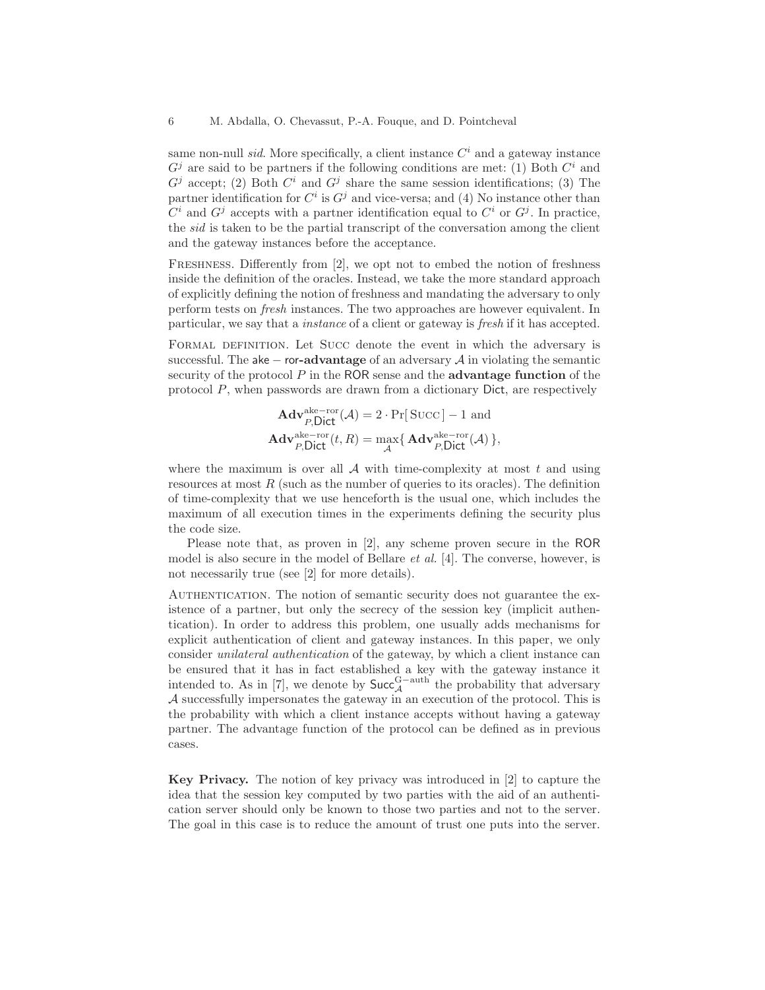same non-null *sid*. More specifically, a client instance  $C<sup>i</sup>$  and a gateway instance  $G<sup>j</sup>$  are said to be partners if the following conditions are met: (1) Both  $C<sup>i</sup>$  and  $G^j$  accept; (2) Both  $C^i$  and  $G^j$  share the same session identifications; (3) The partner identification for  $C^i$  is  $G^j$  and vice-versa; and (4) No instance other than  $C^i$  and  $G^j$  accepts with a partner identification equal to  $C^i$  or  $G^j$ . In practice, the sid is taken to be the partial transcript of the conversation among the client and the gateway instances before the acceptance.

Freshness. Differently from [2], we opt not to embed the notion of freshness inside the definition of the oracles. Instead, we take the more standard approach of explicitly defining the notion of freshness and mandating the adversary to only perform tests on fresh instances. The two approaches are however equivalent. In particular, we say that a instance of a client or gateway is fresh if it has accepted.

FORMAL DEFINITION. Let SUCC denote the event in which the adversary is successful. The ake – ror-advantage of an adversary  $A$  in violating the semantic security of the protocol  $P$  in the ROR sense and the **advantage function** of the protocol P, when passwords are drawn from a dictionary Dict, are respectively

$$
\mathbf{Adv}_{P,\text{Dict}}^{\text{ake-ror}}(\mathcal{A}) = 2 \cdot \Pr[\text{Succ}] - 1 \text{ and}
$$

$$
\mathbf{Adv}_{P,\text{Dict}}^{\text{ake-ror}}(t, R) = \max_{\mathcal{A}} \{ \mathbf{Adv}_{P,\text{Dict}}^{\text{ake-ror}}(\mathcal{A}) \},
$$

where the maximum is over all  $A$  with time-complexity at most  $t$  and using resources at most R (such as the number of queries to its oracles). The definition of time-complexity that we use henceforth is the usual one, which includes the maximum of all execution times in the experiments defining the security plus the code size.

Please note that, as proven in [2], any scheme proven secure in the ROR model is also secure in the model of Bellare et al. [4]. The converse, however, is not necessarily true (see [2] for more details).

Authentication. The notion of semantic security does not guarantee the existence of a partner, but only the secrecy of the session key (implicit authentication). In order to address this problem, one usually adds mechanisms for explicit authentication of client and gateway instances. In this paper, we only consider unilateral authentication of the gateway, by which a client instance can be ensured that it has in fact established a key with the gateway instance it intended to. As in [7], we denote by  $\mathsf{Succ}_{\mathcal{A}}^{G-auth}$  the probability that adversary A successfully impersonates the gateway in an execution of the protocol. This is the probability with which a client instance accepts without having a gateway partner. The advantage function of the protocol can be defined as in previous cases.

Key Privacy. The notion of key privacy was introduced in [2] to capture the idea that the session key computed by two parties with the aid of an authentication server should only be known to those two parties and not to the server. The goal in this case is to reduce the amount of trust one puts into the server.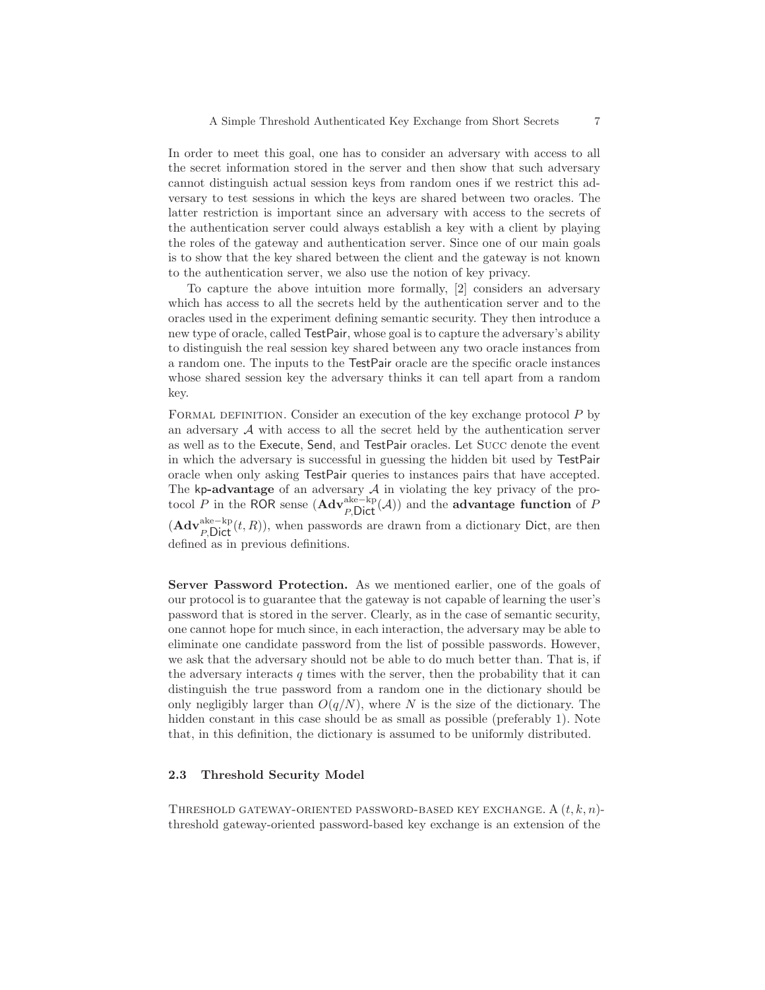In order to meet this goal, one has to consider an adversary with access to all the secret information stored in the server and then show that such adversary cannot distinguish actual session keys from random ones if we restrict this adversary to test sessions in which the keys are shared between two oracles. The latter restriction is important since an adversary with access to the secrets of the authentication server could always establish a key with a client by playing the roles of the gateway and authentication server. Since one of our main goals is to show that the key shared between the client and the gateway is not known to the authentication server, we also use the notion of key privacy.

To capture the above intuition more formally, [2] considers an adversary which has access to all the secrets held by the authentication server and to the oracles used in the experiment defining semantic security. They then introduce a new type of oracle, called TestPair, whose goal is to capture the adversary's ability to distinguish the real session key shared between any two oracle instances from a random one. The inputs to the TestPair oracle are the specific oracle instances whose shared session key the adversary thinks it can tell apart from a random key.

FORMAL DEFINITION. Consider an execution of the key exchange protocol P by an adversary  $A$  with access to all the secret held by the authentication server as well as to the Execute, Send, and TestPair oracles. Let Succ denote the event in which the adversary is successful in guessing the hidden bit used by TestPair oracle when only asking TestPair queries to instances pairs that have accepted. The kp-advantage of an adversary  $A$  in violating the key privacy of the protocol P in the ROR sense  $(Ad\mathbf{v}_{P,\mathsf{Dict}}^{\text{ake}-\text{kp}}(\mathcal{A}))$  and the **advantage function** of P

 $(\mathbf{Adv}_{P,\mathbf{Dict}}^{\text{ake-kp}}(t,R))$ , when passwords are drawn from a dictionary Dict, are then defined as in previous definitions.

Server Password Protection. As we mentioned earlier, one of the goals of our protocol is to guarantee that the gateway is not capable of learning the user's password that is stored in the server. Clearly, as in the case of semantic security, one cannot hope for much since, in each interaction, the adversary may be able to eliminate one candidate password from the list of possible passwords. However, we ask that the adversary should not be able to do much better than. That is, if the adversary interacts  $q$  times with the server, then the probability that it can distinguish the true password from a random one in the dictionary should be only negligibly larger than  $O(q/N)$ , where N is the size of the dictionary. The hidden constant in this case should be as small as possible (preferably 1). Note that, in this definition, the dictionary is assumed to be uniformly distributed.

### 2.3 Threshold Security Model

THRESHOLD GATEWAY-ORIENTED PASSWORD-BASED KEY EXCHANGE. A  $(t, k, n)$ threshold gateway-oriented password-based key exchange is an extension of the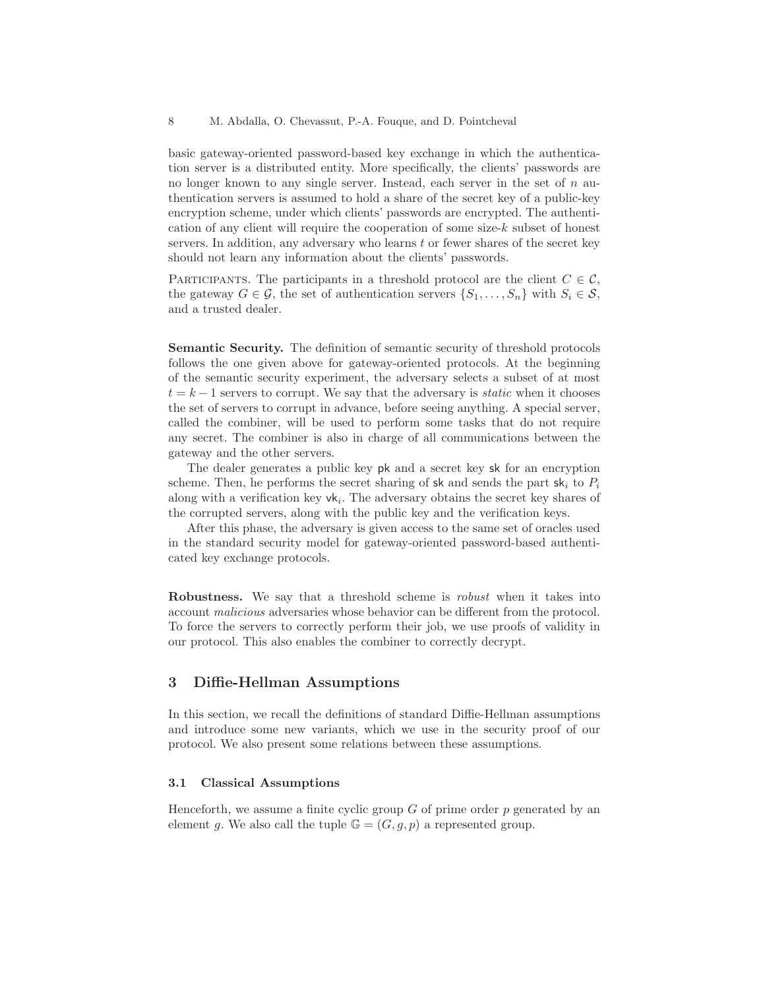basic gateway-oriented password-based key exchange in which the authentication server is a distributed entity. More specifically, the clients' passwords are no longer known to any single server. Instead, each server in the set of n authentication servers is assumed to hold a share of the secret key of a public-key encryption scheme, under which clients' passwords are encrypted. The authentication of any client will require the cooperation of some size-k subset of honest servers. In addition, any adversary who learns t or fewer shares of the secret key should not learn any information about the clients' passwords.

PARTICIPANTS. The participants in a threshold protocol are the client  $C \in \mathcal{C}$ , the gateway  $G \in \mathcal{G}$ , the set of authentication servers  $\{S_1, \ldots, S_n\}$  with  $S_i \in \mathcal{S}$ , and a trusted dealer.

Semantic Security. The definition of semantic security of threshold protocols follows the one given above for gateway-oriented protocols. At the beginning of the semantic security experiment, the adversary selects a subset of at most  $t = k - 1$  servers to corrupt. We say that the adversary is *static* when it chooses the set of servers to corrupt in advance, before seeing anything. A special server, called the combiner, will be used to perform some tasks that do not require any secret. The combiner is also in charge of all communications between the gateway and the other servers.

The dealer generates a public key pk and a secret key sk for an encryption scheme. Then, he performs the secret sharing of sk and sends the part sk<sub>i</sub> to  $P_i$ along with a verification key  $vk_i$ . The adversary obtains the secret key shares of the corrupted servers, along with the public key and the verification keys.

After this phase, the adversary is given access to the same set of oracles used in the standard security model for gateway-oriented password-based authenticated key exchange protocols.

Robustness. We say that a threshold scheme is robust when it takes into account malicious adversaries whose behavior can be different from the protocol. To force the servers to correctly perform their job, we use proofs of validity in our protocol. This also enables the combiner to correctly decrypt.

## 3 Diffie-Hellman Assumptions

In this section, we recall the definitions of standard Diffie-Hellman assumptions and introduce some new variants, which we use in the security proof of our protocol. We also present some relations between these assumptions.

### 3.1 Classical Assumptions

Henceforth, we assume a finite cyclic group  $G$  of prime order  $p$  generated by an element g. We also call the tuple  $\mathbb{G} = (G, g, p)$  a represented group.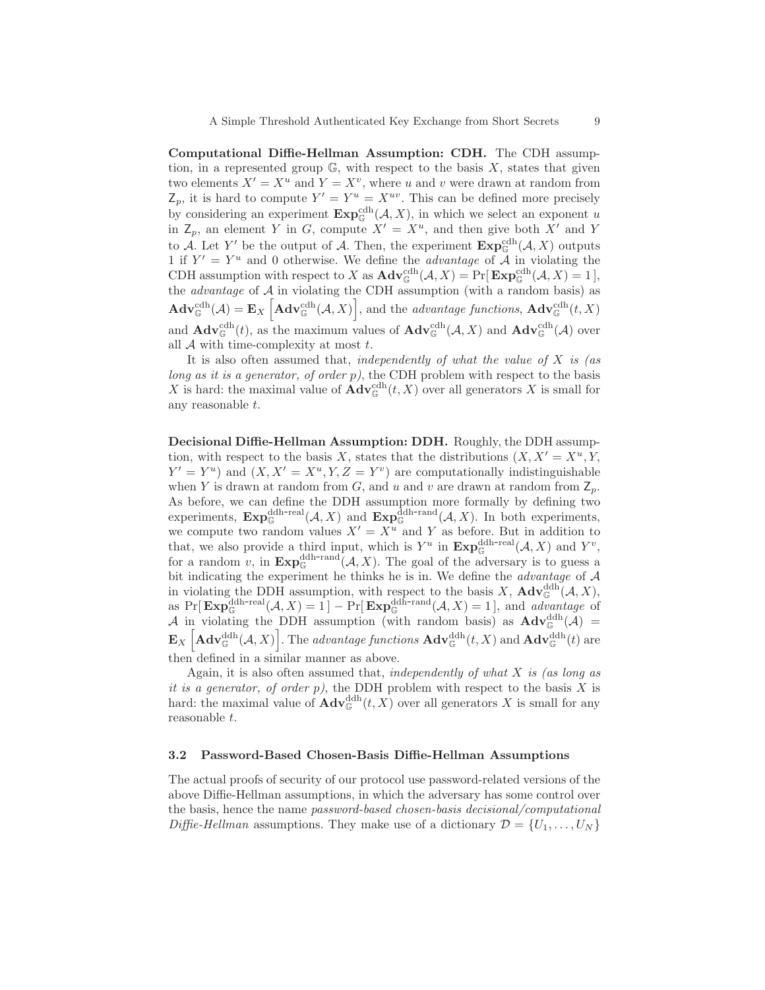Computational Diffie-Hellman Assumption: CDH. The CDH assumption, in a represented group  $\mathbb{G}$ , with respect to the basis X, states that given two elements  $X' = X^u$  and  $Y = X^v$ , where u and v were drawn at random from  $\mathsf{Z}_p$ , it is hard to compute  $Y' = Y^u = X^{uv}$ . This can be defined more precisely by considering an experiment  $\mathbf{Exp}_{\mathbb{G}}^{\text{cdh}}(\mathcal{A}, X)$ , in which we select an exponent u in  $Z_p$ , an element Y in G, compute  $X' = X^u$ , and then give both X' and Y to A. Let Y' be the output of A. Then, the experiment  $\text{Exp}_{\mathbb{G}}^{\text{cdh}}(\mathcal{A}, X)$  outputs 1 if  $Y' = Y^u$  and 0 otherwise. We define the *advantage* of A in violating the CDH assumption with respect to X as  $\mathbf{Adv}_{\mathbb{G}}^{\text{cdh}}(\mathcal{A}, X) = \Pr[\mathbf{Exp}_{\mathbb{G}}^{\text{cdh}}(\mathcal{A}, X) = 1],$ the *advantage* of  $A$  in violating the CDH assumption (with a random basis) as  $\mathbf{Adv}_{\mathbb{G}}^{\mathrm{cdh}}(\mathcal{A}) = \mathbf{E}_X\left[\mathbf{Adv}_{\mathbb{G}}^{\mathrm{cdh}}(\mathcal{A}, X)\right],$  and the *advantage functions*,  $\mathbf{Adv}_{\mathbb{G}}^{\mathrm{cdh}}(t, X)$ and  $\mathbf{Adv}_{\mathbb{G}}^{\text{cdh}}(t)$ , as the maximum values of  $\mathbf{Adv}_{\mathbb{G}}^{\text{cdh}}(\mathcal{A}, X)$  and  $\mathbf{Adv}_{\mathbb{G}}^{\text{cdh}}(\mathcal{A})$  over all  $A$  with time-complexity at most  $t$ .

It is also often assumed that, independently of what the value of  $X$  is (as long as it is a generator, of order  $p$ ), the CDH problem with respect to the basis X is hard: the maximal value of  $\mathbf{Adv}_{\mathbb{G}}^{\text{cdh}}(t, X)$  over all generators X is small for any reasonable t.

Decisional Diffie-Hellman Assumption: DDH. Roughly, the DDH assumption, with respect to the basis X, states that the distributions  $(X, X' = X^u, Y, \mathcal{L})$  $Y' = Y^u$ ) and  $(X, X' = X^u, Y, Z = Y^v)$  are computationally indistinguishable when Y is drawn at random from  $G$ , and u and v are drawn at random from  $Z_p$ . As before, we can define the DDH assumption more formally by defining two experiments,  $\mathbf{Exp}_{\mathbb{G}}^{\text{ddh-real}}(\mathcal{A}, X)$  and  $\mathbf{Exp}_{\mathbb{G}}^{\text{ddh-real}}(\mathcal{A}, X)$ . In both experiments, we compute two random values  $X' = X^u$  and Y as before. But in addition to that, we also provide a third input, which is  $Y^u$  in  $\text{Exp}_{\mathbb{G}}^{\text{ddh-real}}(\mathcal{A}, X)$  and  $Y^v$ , for a random v, in  $\text{Exp}_{\mathbb{G}}^{\text{ddh-rand}}(\mathcal{A}, X)$ . The goal of the adversary is to guess a bit indicating the experiment he thinks he is in. We define the advantage of A in violating the DDH assumption, with respect to the basis X,  $\mathbf{Adv}_{\mathbb{G}}^{\text{ddh}}(\mathcal{A}, X)$ , as  $\Pr[\mathbf{Exp}_{\mathbb{G}}^{\text{ddh-real}}(\mathcal{A}, X) = 1] - \Pr[\mathbf{Exp}_{\mathbb{G}}^{\text{ddh-real}}(\mathcal{A}, X) = 1]$ , and *advantage* of A in violating the DDH assumption (with random basis) as  $\mathbf{Adv}_{\mathbb{G}}^{\text{ddh}}(\mathcal{A}) =$  $\mathbf{E}_X\left[\mathbf{Adv}_{\mathbb{G}}^{\rm ddh}(\mathcal{A},X)\right]$ . The *advantage functions*  $\mathbf{Adv}_{\mathbb{G}}^{\rm ddh}(t,X)$  and  $\mathbf{Adv}_{\mathbb{G}}^{\rm ddh}(t)$  are then defined in a similar manner as above.

Again, it is also often assumed that, independently of what  $X$  is (as long as it is a generator, of order p), the DDH problem with respect to the basis  $X$  is hard: the maximal value of  $\mathbf{Adv}_{\mathbb{G}}^{\mathrm{ddh}}(t, X)$  over all generators X is small for any reasonable t.

### 3.2 Password-Based Chosen-Basis Diffie-Hellman Assumptions

The actual proofs of security of our protocol use password-related versions of the above Diffie-Hellman assumptions, in which the adversary has some control over the basis, hence the name password-based chosen-basis decisional/computational Diffie-Hellman assumptions. They make use of a dictionary  $\mathcal{D} = \{U_1, \ldots, U_N\}$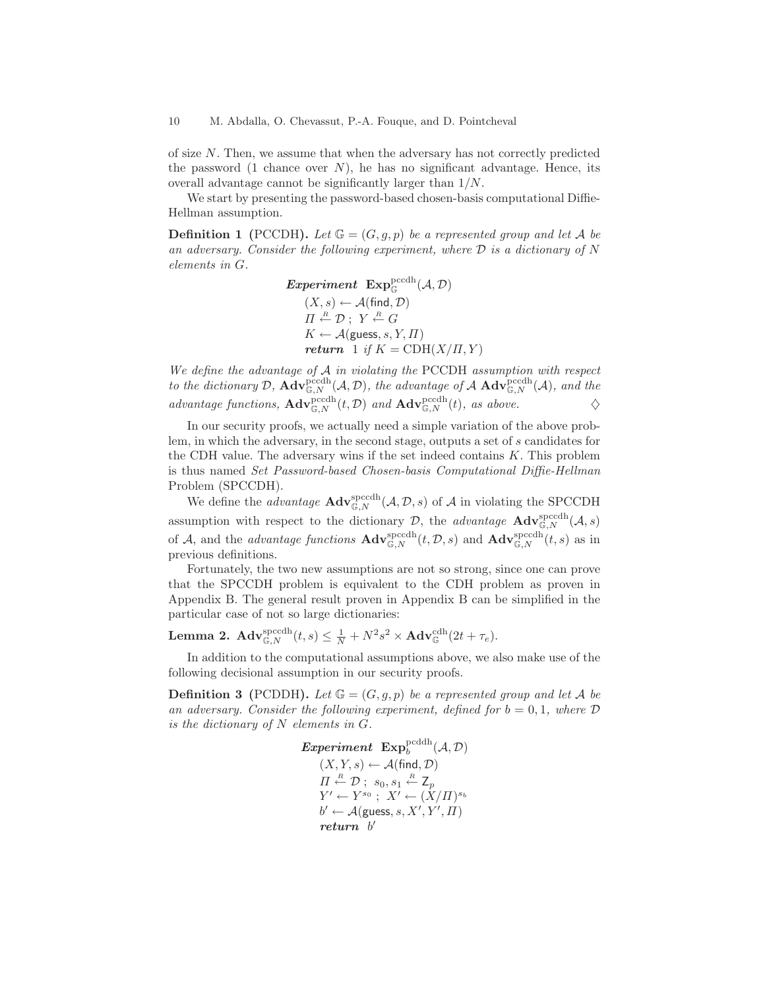of size N. Then, we assume that when the adversary has not correctly predicted the password  $(1 \text{ chance over } N)$ , he has no significant advantage. Hence, its overall advantage cannot be significantly larger than 1/N.

We start by presenting the password-based chosen-basis computational Diffie-Hellman assumption.

**Definition 1** (PCCDH). Let  $\mathbb{G} = (G, g, p)$  be a represented group and let A be an adversary. Consider the following experiment, where  $\mathcal D$  is a dictionary of N elements in G.

**Experiment** 
$$
\mathrm{Exp}_{\mathbb{G}}^{\mathrm{pccdh}}(\mathcal{A}, \mathcal{D})
$$
\n $(X, s) \leftarrow \mathcal{A}(\mathrm{find}, \mathcal{D})$ \n $\Pi \stackrel{E}{\leftarrow} \mathcal{D} \, ; \, Y \stackrel{E}{\leftarrow} G$ \n $K \leftarrow \mathcal{A}(\mathrm{guess}, s, Y, \Pi)$ \nreturn 1 if  $K = \mathrm{CDH}(X/\Pi, Y)$ 

We define the advantage of A in violating the PCCDH assumption with respect to the dictionary D,  $\mathbf{Adv}_{\mathbb{G},N}^{\text{pccdh}}(\mathcal{A},\mathcal{D})$ , the advantage of  $\mathcal{A}$   $\mathbf{Adv}_{\mathbb{G},N}^{\text{pccdh}}(\mathcal{A})$ , and the advantage functions,  $\mathbf{Adv}_{\mathbb{G},N}^{\text{pccdh}}(t, \mathcal{D})$  and  $\mathbf{Adv}_{\mathbb{G},N}^{\text{pccdh}}(t)$ , as above.

In our security proofs, we actually need a simple variation of the above problem, in which the adversary, in the second stage, outputs a set of s candidates for the CDH value. The adversary wins if the set indeed contains  $K$ . This problem is thus named Set Password-based Chosen-basis Computational Diffie-Hellman Problem (SPCCDH).

We define the *advantage*  $\mathbf{Adv}_{\mathbb{G},N}^{\text{spccdh}}(\mathcal{A}, \mathcal{D}, s)$  of  $\mathcal{A}$  in violating the SPCCDH assumption with respect to the dictionary  $D$ , the *advantage*  $\text{Adv}_{\mathbb{G},N}^{\text{spccdh}}(\mathcal{A},s)$ of A, and the *advantage functions*  $\mathbf{Adv}_{\mathbb{G},N}^{\text{spccdh}}(t, \mathcal{D}, s)$  and  $\mathbf{Adv}_{\mathbb{G},N}^{\text{spccdh}}(t, s)$  as in previous definitions.

Fortunately, the two new assumptions are not so strong, since one can prove that the SPCCDH problem is equivalent to the CDH problem as proven in Appendix B. The general result proven in Appendix B can be simplified in the particular case of not so large dictionaries:

Lemma 2.  $\mathbf{Adv}_{\mathbb{G},N}^{\mathrm{spccdh}}(t,s) \leq \frac{1}{N} + N^2 s^2 \times \mathbf{Adv}_{\mathbb{G}}^{\mathrm{cdh}}(2t + \tau_e).$ 

In addition to the computational assumptions above, we also make use of the following decisional assumption in our security proofs.

**Definition 3** (PCDDH). Let  $\mathbb{G} = (G, g, p)$  be a represented group and let A be an adversary. Consider the following experiment, defined for  $b = 0, 1$ , where  $D$ is the dictionary of N elements in G.

```
Experiment \ \ Exp^{\rm pcddh}_b({\cal A},{\cal D})(X, Y, s) \leftarrow \mathcal{A}(\text{find}, \mathcal{D})\varPi\stackrel{\mathit{R}}{\leftarrow}\mathcal{D} \; ; \; s_0,s_1\stackrel{\mathit{R}}{\leftarrow}\mathsf{Z}_pY' \leftarrow Y^{s_0}; X' \leftarrow (X/\Pi)^{s_b}b' \leftarrow \mathcal{A}(\text{guess}, s, X', Y', \Pi)return b'
```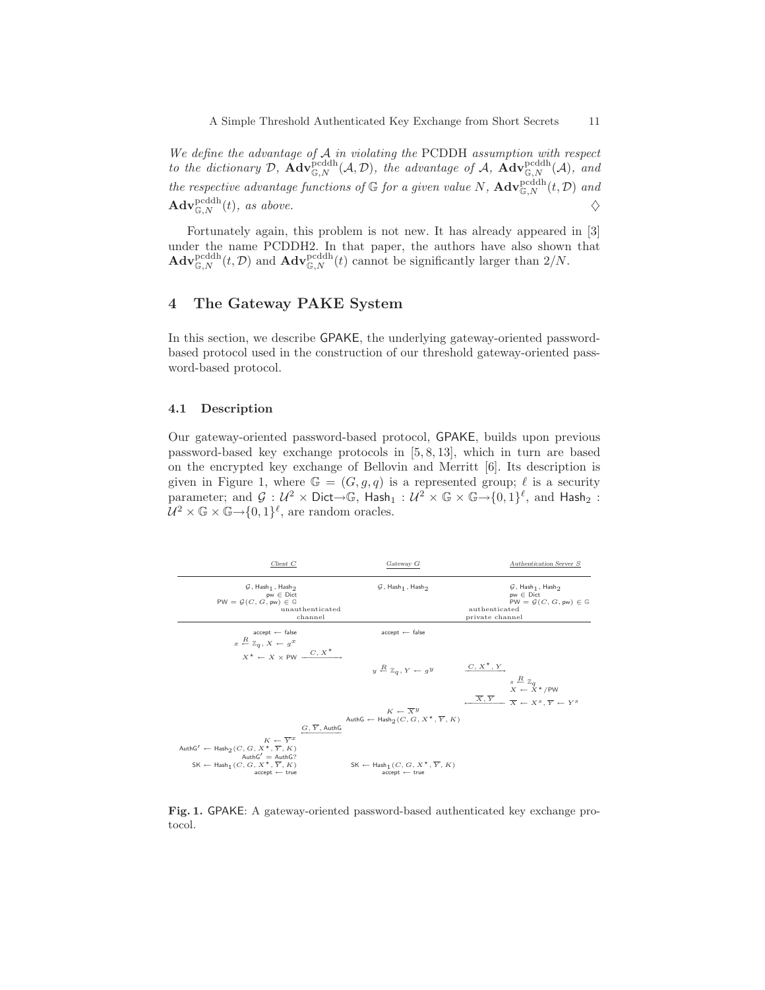We define the advantage of  $A$  in violating the PCDDH assumption with respect to the dictionary D,  $\mathbf{Adv}_{\mathbb{G},N}^{\text{pcddh}}(\mathcal{A},\mathcal{D})$ , the advantage of  $\mathcal{A}$ ,  $\mathbf{Adv}_{\mathbb{G},N}^{\text{pcddh}}(\mathcal{A})$ , and the respective advantage functions of G for a given value N,  $\mathbf{Adv}_{\mathbb{G},N}^{\mathrm{preddh}}(t, \mathcal{D})$  and  $\mathbf{Adv}_{\mathbb{G},N}^{\mathrm{pcddh}}(t)$ , as above.  $\diamondsuit$ 

Fortunately again, this problem is not new. It has already appeared in [3] under the name PCDDH2. In that paper, the authors have also shown that  $\mathbf{Adv}_{\mathbb{G},N}^{\mathrm{preddh}}(t,\mathcal{D})$  and  $\mathbf{Adv}_{\mathbb{G},N}^{\mathrm{preddh}}(t)$  cannot be significantly larger than  $2/N$ .

## 4 The Gateway PAKE System

In this section, we describe GPAKE, the underlying gateway-oriented passwordbased protocol used in the construction of our threshold gateway-oriented password-based protocol.

#### 4.1 Description

Our gateway-oriented password-based protocol, GPAKE, builds upon previous password-based key exchange protocols in [5, 8, 13], which in turn are based on the encrypted key exchange of Bellovin and Merritt [6]. Its description is given in Figure 1, where  $\mathbb{G} = (G, g, q)$  is a represented group;  $\ell$  is a security parameter; and  $\mathcal{G}: \mathcal{U}^2 \times \mathsf{Dict} \to \mathbb{G}$ ,  $\mathsf{Hash}_1: \mathcal{U}^2 \times \mathbb{G} \times \mathbb{G} \to \{0,1\}^\ell$ , and  $\mathsf{Hash}_2:$  $\mathcal{U}^2 \times \mathbb{G} \times \mathbb{G} \rightarrow \{0,1\}^{\ell}$ , are random oracles.

| Client C                                                                                                                                                                                        | Gateway G                                                                                                              | Authentication Server S                                                                                                                                                                                                                      |
|-------------------------------------------------------------------------------------------------------------------------------------------------------------------------------------------------|------------------------------------------------------------------------------------------------------------------------|----------------------------------------------------------------------------------------------------------------------------------------------------------------------------------------------------------------------------------------------|
| $\mathcal G$ , Hash <sub>1</sub> , Hash <sub>2</sub><br>$pw \in$ Dict<br>$PW = \mathcal{G}(C, G, pw) \in \mathbb{G}$<br>unauthenticated<br>channel                                              | $\mathcal G$ , Hash <sub>1</sub> , Hash <sub>2</sub>                                                                   | $\mathcal G$ , Hash <sub>1</sub> , Hash <sub>2</sub><br>$pw \in$ Dict<br>$PW = \mathcal{G}(C, G, pw) \in \mathbb{G}$<br>authenticated<br>private channel                                                                                     |
| $accept \leftarrow false$<br>$x \stackrel{R}{\leftarrow} \mathbb{Z}_q, X \leftarrow g^x$<br>$X^* \leftarrow X \times \text{PW} \xrightarrow{C, X^*}$                                            | $accept \leftarrow false$                                                                                              |                                                                                                                                                                                                                                              |
|                                                                                                                                                                                                 | $y \stackrel{R}{\leftarrow} \mathbb{Z}_q, Y \leftarrow g^y$                                                            | $C, X^{\star}, Y$<br>$\begin{array}{c}\n s \stackrel{R}{\leftarrow} \mathbb{Z}_q \\ X \leftarrow X^{\star} / \text{PW} \\ \hline\n \overline{X}, \overline{Y} \qquad \overline{X} \leftarrow X^S, \overline{Y} \leftarrow Y^S\n \end{array}$ |
| $G, \overline{Y}$ , AuthG<br>$K \, \leftarrow \, \overline{Y}{}^{\mathcal{X}}$                                                                                                                  | $K \leftarrow \overline{X}$ <sup>y</sup><br>Auth $G \leftarrow$ Hash <sub>2</sub> $(C, G, X^{\star}, \overline{Y}, K)$ |                                                                                                                                                                                                                                              |
| Auth $G' \leftarrow$ Hash <sub>2</sub> $(C, G, X^*, \overline{Y}, K)$<br>Auth $G' =$ Auth $G$ ?<br>$SK \leftarrow$ Hash <sub>1</sub> $(C, G, X^*, \overline{Y}, K)$<br>$accept \leftarrow true$ | $SK \leftarrow$ Hash <sub>1</sub> $(C, G, X^{\star}, \overline{Y}, K)$<br>$accept \leftarrow true$                     |                                                                                                                                                                                                                                              |

Fig. 1. GPAKE: A gateway-oriented password-based authenticated key exchange protocol.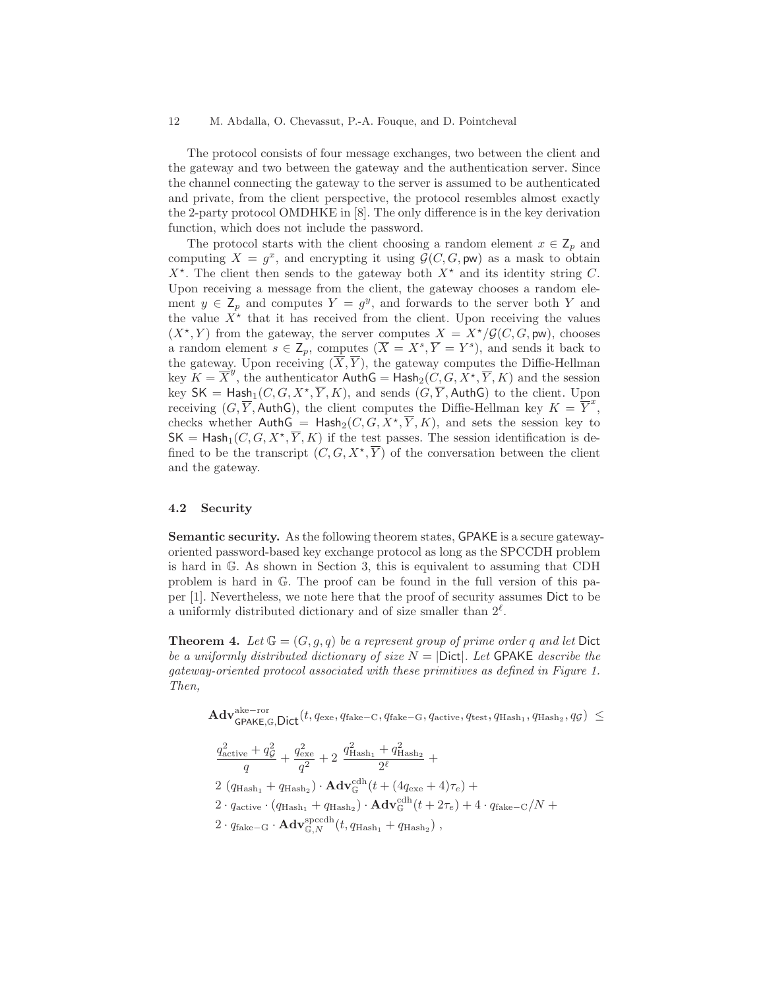#### 12 M. Abdalla, O. Chevassut, P.-A. Fouque, and D. Pointcheval

The protocol consists of four message exchanges, two between the client and the gateway and two between the gateway and the authentication server. Since the channel connecting the gateway to the server is assumed to be authenticated and private, from the client perspective, the protocol resembles almost exactly the 2-party protocol OMDHKE in [8]. The only difference is in the key derivation function, which does not include the password.

The protocol starts with the client choosing a random element  $x \in \mathsf{Z}_p$  and computing  $X = g^x$ , and encrypting it using  $\mathcal{G}(C, G, \mathsf{pw})$  as a mask to obtain  $X^*$ . The client then sends to the gateway both  $X^*$  and its identity string C. Upon receiving a message from the client, the gateway chooses a random element  $y \in \mathsf{Z}_p$  and computes  $Y = g^y$ , and forwards to the server both Y and the value  $X^*$  that it has received from the client. Upon receiving the values  $(X^*, Y)$  from the gateway, the server computes  $X = X^*/\mathcal{G}(C, G, \mathsf{pw})$ , chooses a random element  $s \in \mathsf{Z}_p$ , computes  $(\overline{X} = X^s, \overline{Y} = Y^s)$ , and sends it back to the gateway. Upon receiving  $(\overline{\overline{X}}, \overline{Y})$ , the gateway computes the Diffie-Hellman key  $K = \overline{X}^y$ , the authenticator  $\overline{Aut} \mathsf{h} \mathsf{G} = \overline{Hash}_2(C, G, \overline{X}^*, \overline{Y}, K)$  and the session key  $\mathsf{SK}=\mathsf{Hash}_{1}(C,G,X^{\star},\overline{Y},K),$  and sends  $(G,\overline{Y},\mathsf{AuthG})$  to the client. Upon receiving  $(G, \overline{Y}, \overline{AuthG})$ , the client computes the Diffie-Hellman key  $K = \overline{Y}^x$ , checks whether  $\mathsf{Author} = \mathsf{Hash}_2(C, G, X^*, \overline{Y}, K)$ , and sets the session key to  $\mathsf{SK} = \mathsf{Hash}_1(C, G, X^*, \overline{Y}, K)$  if the test passes. The session identification is defined to be the transcript  $(C, G, X^*, \overline{Y})$  of the conversation between the client and the gateway.

### 4.2 Security

Semantic security. As the following theorem states, GPAKE is a secure gatewayoriented password-based key exchange protocol as long as the SPCCDH problem is hard in G. As shown in Section 3, this is equivalent to assuming that CDH problem is hard in G. The proof can be found in the full version of this paper [1]. Nevertheless, we note here that the proof of security assumes Dict to be a uniformly distributed dictionary and of size smaller than  $2^{\ell}$ .

**Theorem 4.** Let  $\mathbb{G} = (G, g, q)$  be a represent group of prime order q and let Dict be a uniformly distributed dictionary of size  $N =$  Dict. Let GPAKE describe the gateway-oriented protocol associated with these primitives as defined in Figure 1. Then,

 $\mathrm{Adv}_{\mathsf{GPAKE},\mathbb{G},\mathsf{Dict}}^{a\text{ke}-\text{ror}}(t,q_{\text{exe}},q_{\text{fake}-\text{C}},q_{\text{fake}-\text{G}},q_{\text{active}},q_{\text{test}},q_{\text{Hash}_1},q_{\text{Hash}_2},q_{\mathcal{G}}) \ \leq$ 

$$
\begin{aligned} &\frac{q_{\rm active}^2+q_{\rm G}^2}{q}+\frac{q_{\rm exc}^2}{q^2}+2~\frac{q_{\rm Hash_1}^2+q_{\rm Hash_2}^2}{2^\ell}+\\ &2~(q_{\rm Hash_1}+q_{\rm Hash_2})\cdot \mathbf{Adv}_{\mathbb{G}}^{\rm cdh}(t+(4q_{\rm exc}+4)\tau_e)+\\ &2\cdot q_{\rm active}\cdot(q_{\rm Hash_1}+q_{\rm Hash_2})\cdot \mathbf{Adv}_{\mathbb{G}}^{\rm cdh}(t+2\tau_e)+4\cdot q_{\rm fake-C}/N+\\ &2\cdot q_{\rm fake-G}\cdot \mathbf{Adv}_{\mathbb{G},N}^{\rm speedh}(t,q_{\rm Hash_1}+q_{\rm Hash_2})~, \end{aligned}
$$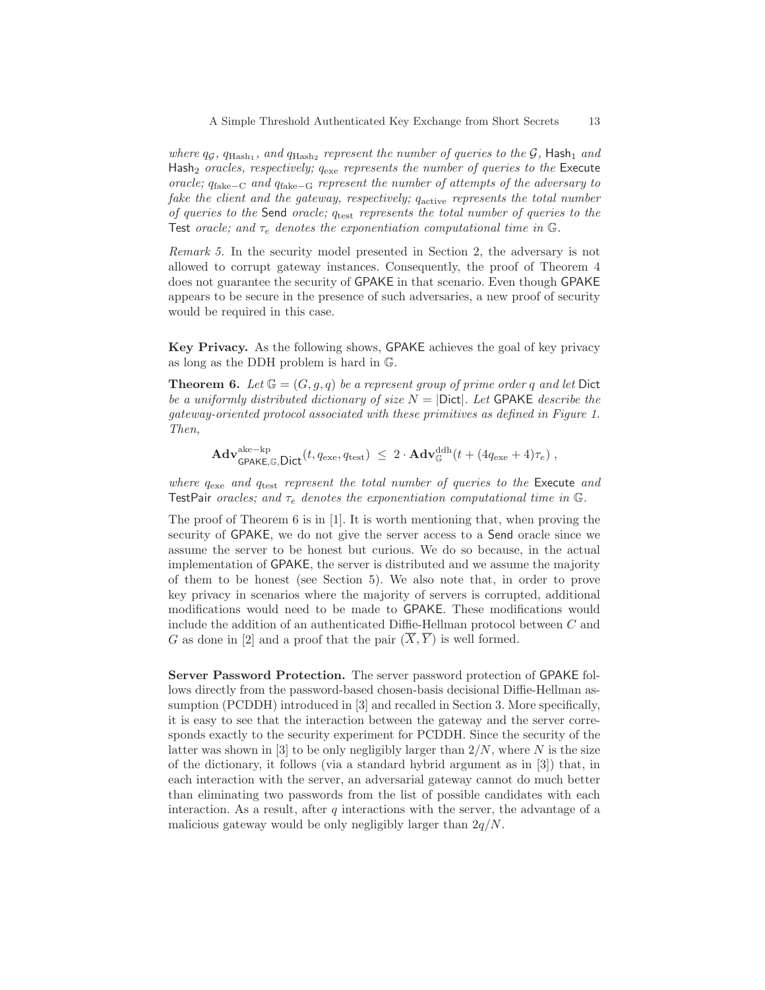where  $q_{\mathcal{G}}$ ,  $q_{\text{Hash}_1}$ , and  $q_{\text{Hash}_2}$  represent the number of queries to the  $\mathcal{G}$ , Hash<sub>1</sub> and Hash<sub>2</sub> oracles, respectively;  $q_{\text{exe}}$  represents the number of queries to the Execute oracle; qfake−<sup>C</sup> and qfake−<sup>G</sup> represent the number of attempts of the adversary to fake the client and the gateway, respectively;  $q_{\text{active}}$  represents the total number of queries to the Send oracle;  $q_{\text{test}}$  represents the total number of queries to the Test oracle; and  $\tau_e$  denotes the exponentiation computational time in  $\mathbb{G}$ .

Remark 5. In the security model presented in Section 2, the adversary is not allowed to corrupt gateway instances. Consequently, the proof of Theorem 4 does not guarantee the security of GPAKE in that scenario. Even though GPAKE appears to be secure in the presence of such adversaries, a new proof of security would be required in this case.

Key Privacy. As the following shows, GPAKE achieves the goal of key privacy as long as the DDH problem is hard in G.

**Theorem 6.** Let  $\mathbb{G} = (G, g, q)$  be a represent group of prime order q and let Dict be a uniformly distributed dictionary of size  $N =$   $|\text{Dict}|$ . Let GPAKE describe the gateway-oriented protocol associated with these primitives as defined in Figure 1. Then,

 $\mathbf{Adv}_{\mathsf{GPAKE},\mathbb{G},\mathsf{Dict}}^{\mathrm{ake-kp}}(t,q_{\mathrm{exe}},q_{\mathrm{test}}) \ \leq \ 2 \cdot \mathbf{Adv}_{\mathbb{G}}^{\mathrm{ddh}}(t + (4q_{\mathrm{exe}} + 4)\tau_{e}) \ ,$ 

where  $q_{\text{exe}}$  and  $q_{\text{test}}$  represent the total number of queries to the Execute and TestPair oracles; and  $\tau_e$  denotes the exponentiation computational time in  $\mathbb{G}$ .

The proof of Theorem 6 is in  $[1]$ . It is worth mentioning that, when proving the security of GPAKE, we do not give the server access to a Send oracle since we assume the server to be honest but curious. We do so because, in the actual implementation of GPAKE, the server is distributed and we assume the majority of them to be honest (see Section 5). We also note that, in order to prove key privacy in scenarios where the majority of servers is corrupted, additional modifications would need to be made to GPAKE. These modifications would include the addition of an authenticated Diffie-Hellman protocol between C and G as done in [2] and a proof that the pair  $(\overline{X}, \overline{Y})$  is well formed.

Server Password Protection. The server password protection of GPAKE follows directly from the password-based chosen-basis decisional Diffie-Hellman assumption (PCDDH) introduced in [3] and recalled in Section 3. More specifically, it is easy to see that the interaction between the gateway and the server corresponds exactly to the security experiment for PCDDH. Since the security of the latter was shown in [3] to be only negligibly larger than  $2/N$ , where N is the size of the dictionary, it follows (via a standard hybrid argument as in [3]) that, in each interaction with the server, an adversarial gateway cannot do much better than eliminating two passwords from the list of possible candidates with each interaction. As a result, after  $q$  interactions with the server, the advantage of a malicious gateway would be only negligibly larger than  $2q/N$ .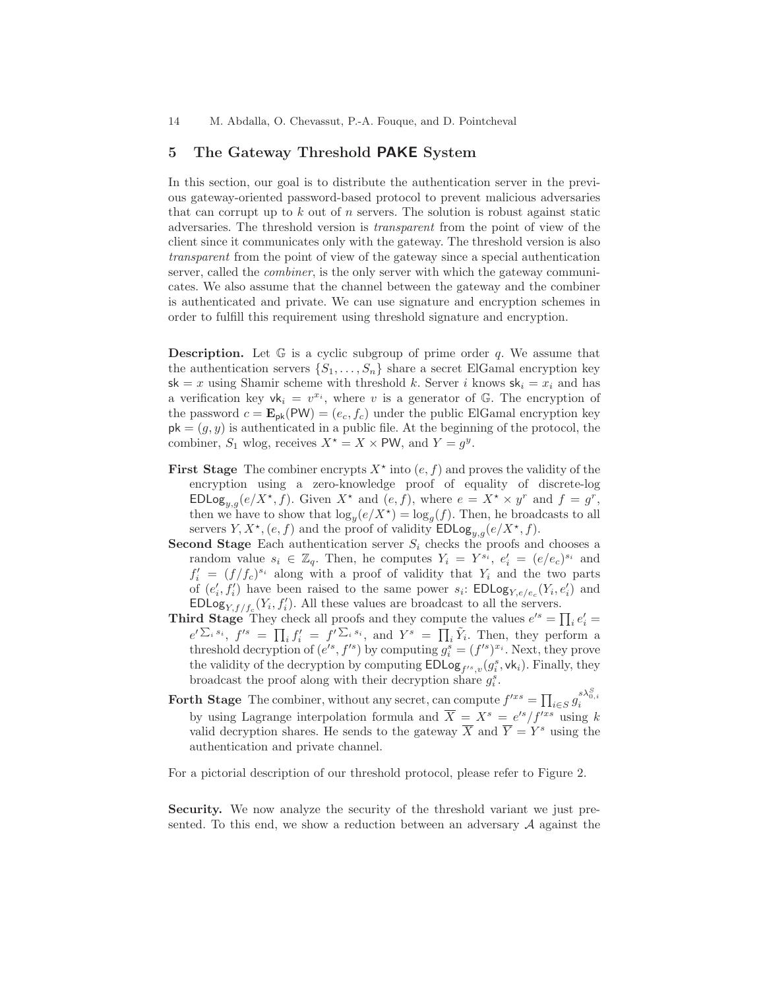## 5 The Gateway Threshold **PAKE** System

In this section, our goal is to distribute the authentication server in the previous gateway-oriented password-based protocol to prevent malicious adversaries that can corrupt up to  $k$  out of  $n$  servers. The solution is robust against static adversaries. The threshold version is transparent from the point of view of the client since it communicates only with the gateway. The threshold version is also transparent from the point of view of the gateway since a special authentication server, called the combiner, is the only server with which the gateway communicates. We also assume that the channel between the gateway and the combiner is authenticated and private. We can use signature and encryption schemes in order to fulfill this requirement using threshold signature and encryption.

**Description.** Let  $\mathbb{G}$  is a cyclic subgroup of prime order q. We assume that the authentication servers  $\{S_1, \ldots, S_n\}$  share a secret ElGamal encryption key  $sk = x$  using Shamir scheme with threshold k. Server i knows  $sk_i = x_i$  and has a verification key  $\mathsf{vk}_i = v^{x_i}$ , where v is a generator of G. The encryption of the password  $c = \mathbf{E}_{\text{pk}}(\text{PW}) = (e_c, f_c)$  under the public ElGamal encryption key  $pk = (g, y)$  is authenticated in a public file. At the beginning of the protocol, the combiner,  $S_1$  wlog, receives  $X^* = X \times \text{PW}$ , and  $Y = g^y$ .

- **First Stage** The combiner encrypts  $X^*$  into  $(e, f)$  and proves the validity of the encryption using a zero-knowledge proof of equality of discrete-log **EDLog**<sub>y,g</sub> $(e/X^*, f)$ . Given  $X^*$  and  $(e, f)$ , where  $e = X^* \times y^r$  and  $f = g^r$ , then we have to show that  $\log_y(e/X^*) = \log_g(f)$ . Then, he broadcasts to all servers  $Y, X^*, (e, f)$  and the proof of validity  $EDDog_{y,g}(e/X^*, f)$ .
- **Second Stage** Each authentication server  $S_i$  checks the proofs and chooses a random value  $s_i \in \mathbb{Z}_q$ . Then, he computes  $Y_i = Y^{s_i}$ ,  $e'_i = (e/e_c)^{s_i}$  and  $f'_{i} = (f/f_{c})^{s_{i}}$  along with a proof of validity that  $Y_{i}$  and the two parts of  $(e'_i, f'_i)$  have been raised to the same power  $s_i$ :  $EDLog_{Y, e/e_c}(Y_i, e'_i)$  and  $EDLog_{Y, f/f_c}(Y_i, f'_i)$ . All these values are broadcast to all the servers.
- **Third Stage** They check all proofs and they compute the values  $e^{is} = \prod_i e_i' =$  $e^{\prime \sum_i s_i}$ ,  $f'^s = \prod_i f'_i = f'^{\sum_i s_i}$ , and  $Y^s = \prod_i \tilde{Y}_i$ . Then, they perform a threshold decryption of  $(e'^s, f'^s)$  by computing  $g_i^s = (f'^s)^{x_i}$ . Next, they prove the validity of the decryption by computing  $EDLog_{f'^s, v}(g_i^s, \mathsf{vk}_i)$ . Finally, they broadcast the proof along with their decryption share  $g_i^s$ .
- **Forth Stage** The combiner, without any secret, can compute  $f'^{xs} = \prod_{i \in S} g_i^{s \lambda_{0,i}^S}$ by using Lagrange interpolation formula and  $\overline{X} = X^s = e^{is}/f^{txs}$  using k valid decryption shares. He sends to the gateway  $\overline{X}$  and  $\overline{Y} = Y^s$  using the authentication and private channel.

For a pictorial description of our threshold protocol, please refer to Figure 2.

Security. We now analyze the security of the threshold variant we just presented. To this end, we show a reduction between an adversary  $A$  against the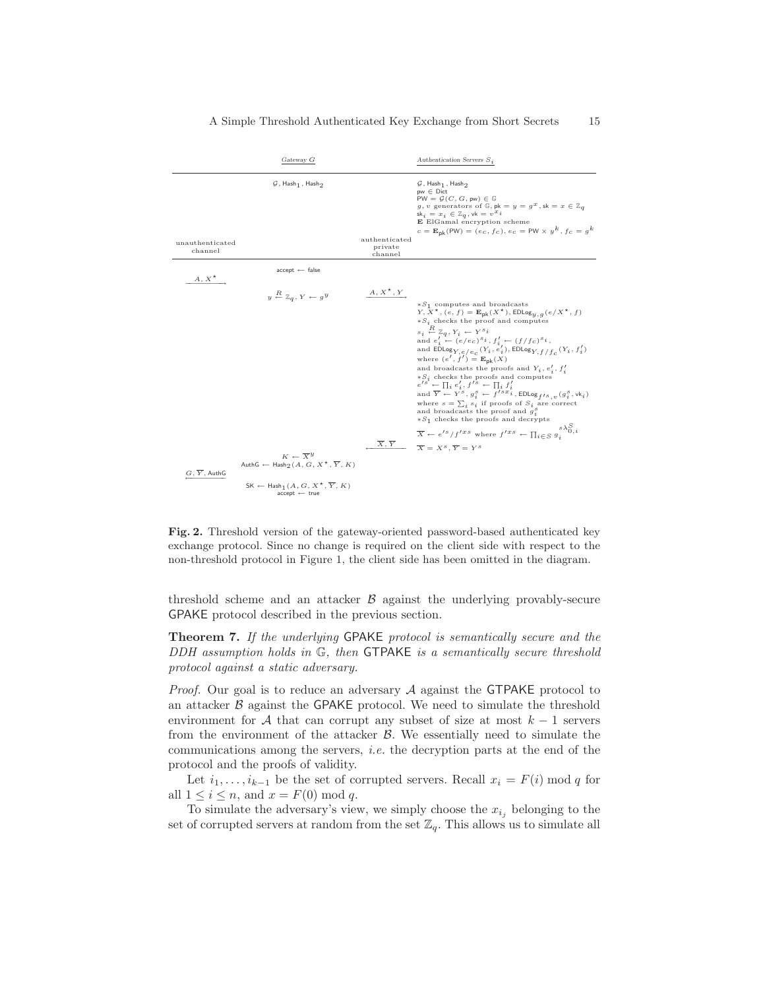|                            | Gateway G                                                                                                                                                                                                         |                                     | Authentication Servers $S_i$                                                                                                                                                                                                                                                                                                                                                                                                                                                                                                                                                                                                                                                                                                                                                                                                                                                                                                                                                                                                                                                                                       |
|----------------------------|-------------------------------------------------------------------------------------------------------------------------------------------------------------------------------------------------------------------|-------------------------------------|--------------------------------------------------------------------------------------------------------------------------------------------------------------------------------------------------------------------------------------------------------------------------------------------------------------------------------------------------------------------------------------------------------------------------------------------------------------------------------------------------------------------------------------------------------------------------------------------------------------------------------------------------------------------------------------------------------------------------------------------------------------------------------------------------------------------------------------------------------------------------------------------------------------------------------------------------------------------------------------------------------------------------------------------------------------------------------------------------------------------|
|                            | $\mathcal G$ , Hash <sub>1</sub> , Hash <sub>2</sub>                                                                                                                                                              |                                     | $\mathcal{G}$ , Hash <sub>1</sub> , Hash <sub>2</sub><br>$pw \in$ Dict<br>$PW = \mathcal{G}(C, G, pw) \in \mathbb{G}$<br>g, v generators of G, pk = $y = g^x$ , sk = $x \in \mathbb{Z}_q$<br>$sk_i = x_i \in \mathbb{Z}_q$ , vk $= v^{\mathcal{X}_i}$<br>E ElGamal encryption scheme<br>$c = \mathbf{E}_{\mathsf{pk}}(\mathsf{PW}) = (e_c, f_c), e_c = \mathsf{PW} \times y^k, f_c = g^k$                                                                                                                                                                                                                                                                                                                                                                                                                                                                                                                                                                                                                                                                                                                          |
| unauthenticated<br>channel |                                                                                                                                                                                                                   | authenticated<br>private<br>channel |                                                                                                                                                                                                                                                                                                                                                                                                                                                                                                                                                                                                                                                                                                                                                                                                                                                                                                                                                                                                                                                                                                                    |
| $A, X^*$                   | $accept \leftarrow false$                                                                                                                                                                                         |                                     |                                                                                                                                                                                                                                                                                                                                                                                                                                                                                                                                                                                                                                                                                                                                                                                                                                                                                                                                                                                                                                                                                                                    |
|                            | $y \stackrel{R}{\leftarrow} \mathbb{Z}_q, Y \leftarrow g^y$                                                                                                                                                       | $A, X^{\star}, Y$                   | $*S_1$ computes and broadcasts<br>$Y, X^{\star}, (e, f) = \mathbf{E}_{\mathsf{pk}}(X^{\star}), \mathsf{EDLog}_{y, q}(e/X^{\star}, f)$<br>$*S_i$ checks the proof and computes<br>$s_i \stackrel{R}{\leftarrow} \mathbb{Z}_q, Y_i \leftarrow Y^{s_i}$<br>and $e'_i \leftarrow (e/e_c)^{Si}$ , $f'_i \leftarrow (f/f_c)^{Si}$ ,<br>and $\texttt{EDLog}_{Y,e/e_c}(Y_i,e'_i), \texttt{EDLog}_{Y,f/f_c}(Y_i,f'_i)$<br>where $(e', f') = \mathbf{E}_{\mathsf{pk}}(X)$<br>and broadcasts the proofs and $Y_i, e'_i, f'_i$<br>$*S_i$ checks the proofs and computes<br>$e'^s \leftarrow \prod_i e'_i, f'^s \leftarrow \prod_i f'_i$<br>and $\overline{Y} \stackrel{\cdots}{\leftarrow} Y^s, g_i^s \leftarrow f'^s x_i^t, \text{EDLog}_{f'^s, v}(g_i^s, w_i)$<br>where $s = \sum_i s_i$ if proofs of $S_i$ are correct<br>and broadcasts the proof and $g_i^s$<br>$*S_1$ checks the proofs and decrypts<br>$\overline{X} \leftarrow e^{is}/f^{txs}$ where $f^{txs} \leftarrow \prod_{i \in S} g_i^{s\lambda_{0,i}^{S}}$<br>$\overline{\overline{X}}, \overline{\overline{Y}} \qquad \overline{X} = X^S, \overline{Y} = Y^S$ |
| $G, \overline{Y}$ , AuthG  | $K \leftarrow \overline{X}^y$<br>AuthG $\leftarrow$ Hash <sub>2</sub> (A, G, X <sup>*</sup> , $\overline{Y}$ , K)<br>$SK \leftarrow$ Hash <sub>1</sub> $(A, G, X^*, \overline{Y}, K)$<br>$accept \leftarrow true$ |                                     |                                                                                                                                                                                                                                                                                                                                                                                                                                                                                                                                                                                                                                                                                                                                                                                                                                                                                                                                                                                                                                                                                                                    |

Fig. 2. Threshold version of the gateway-oriented password-based authenticated key exchange protocol. Since no change is required on the client side with respect to the non-threshold protocol in Figure 1, the client side has been omitted in the diagram.

threshold scheme and an attacker  $\beta$  against the underlying provably-secure GPAKE protocol described in the previous section.

Theorem 7. If the underlying GPAKE protocol is semantically secure and the DDH assumption holds in G, then GTPAKE is a semantically secure threshold protocol against a static adversary.

*Proof.* Our goal is to reduce an adversary  $A$  against the GTPAKE protocol to an attacker  $\beta$  against the GPAKE protocol. We need to simulate the threshold environment for A that can corrupt any subset of size at most  $k - 1$  servers from the environment of the attacker  $\beta$ . We essentially need to simulate the communications among the servers, i.e. the decryption parts at the end of the protocol and the proofs of validity.

Let  $i_1, \ldots, i_{k-1}$  be the set of corrupted servers. Recall  $x_i = F(i) \mod q$  for all  $1 \leq i \leq n$ , and  $x = F(0) \mod q$ .

To simulate the adversary's view, we simply choose the  $x_{i_j}$  belonging to the set of corrupted servers at random from the set  $\mathbb{Z}_q$ . This allows us to simulate all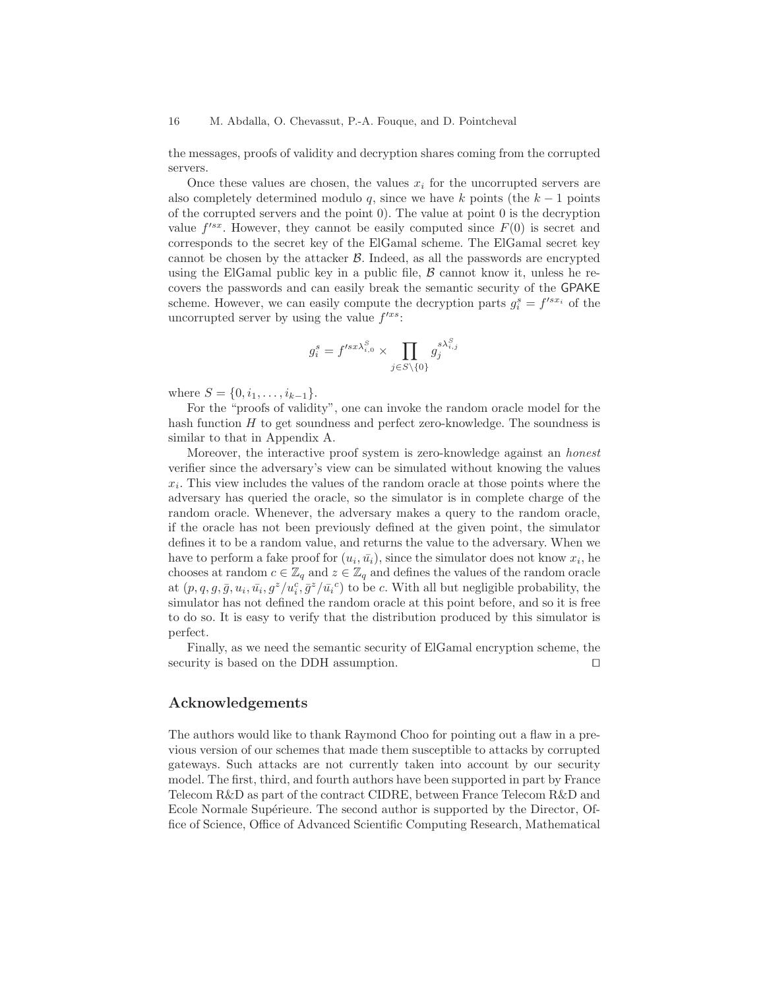the messages, proofs of validity and decryption shares coming from the corrupted servers.

Once these values are chosen, the values  $x_i$  for the uncorrupted servers are also completely determined modulo q, since we have k points (the  $k-1$  points of the corrupted servers and the point  $0$ . The value at point  $0$  is the decryption value  $f'^{sx}$ . However, they cannot be easily computed since  $F(0)$  is secret and corresponds to the secret key of the ElGamal scheme. The ElGamal secret key cannot be chosen by the attacker  $\beta$ . Indeed, as all the passwords are encrypted using the ElGamal public key in a public file,  $\beta$  cannot know it, unless he recovers the passwords and can easily break the semantic security of the GPAKE scheme. However, we can easily compute the decryption parts  $g_i^s = f'^{sx_i}$  of the uncorrupted server by using the value  $f'^{xs}$ :

$$
g_i^s = f'^{sx\lambda_{i,0}^S} \times \prod_{j \in S \backslash \{0\}} g_j^{s\lambda_{i,j}^S}
$$

where  $S = \{0, i_1, \ldots, i_{k-1}\}.$ 

For the "proofs of validity", one can invoke the random oracle model for the hash function  $H$  to get soundness and perfect zero-knowledge. The soundness is similar to that in Appendix A.

Moreover, the interactive proof system is zero-knowledge against an honest verifier since the adversary's view can be simulated without knowing the values  $x_i$ . This view includes the values of the random oracle at those points where the adversary has queried the oracle, so the simulator is in complete charge of the random oracle. Whenever, the adversary makes a query to the random oracle, if the oracle has not been previously defined at the given point, the simulator defines it to be a random value, and returns the value to the adversary. When we have to perform a fake proof for  $(u_i, \bar{u_i})$ , since the simulator does not know  $x_i$ , he chooses at random  $c \in \mathbb{Z}_q$  and  $z \in \mathbb{Z}_q$  and defines the values of the random oracle at  $(p, q, g, \bar{g}, u_i, \bar{u_i}, g^z/u_i^c, \bar{g}^z/\bar{u_i}^c)$  to be c. With all but negligible probability, the simulator has not defined the random oracle at this point before, and so it is free to do so. It is easy to verify that the distribution produced by this simulator is perfect.

Finally, as we need the semantic security of ElGamal encryption scheme, the security is based on the DDH assumption. □

# Acknowledgements

The authors would like to thank Raymond Choo for pointing out a flaw in a previous version of our schemes that made them susceptible to attacks by corrupted gateways. Such attacks are not currently taken into account by our security model. The first, third, and fourth authors have been supported in part by France Telecom R&D as part of the contract CIDRE, between France Telecom R&D and Ecole Normale Supérieure. The second author is supported by the Director, Office of Science, Office of Advanced Scientific Computing Research, Mathematical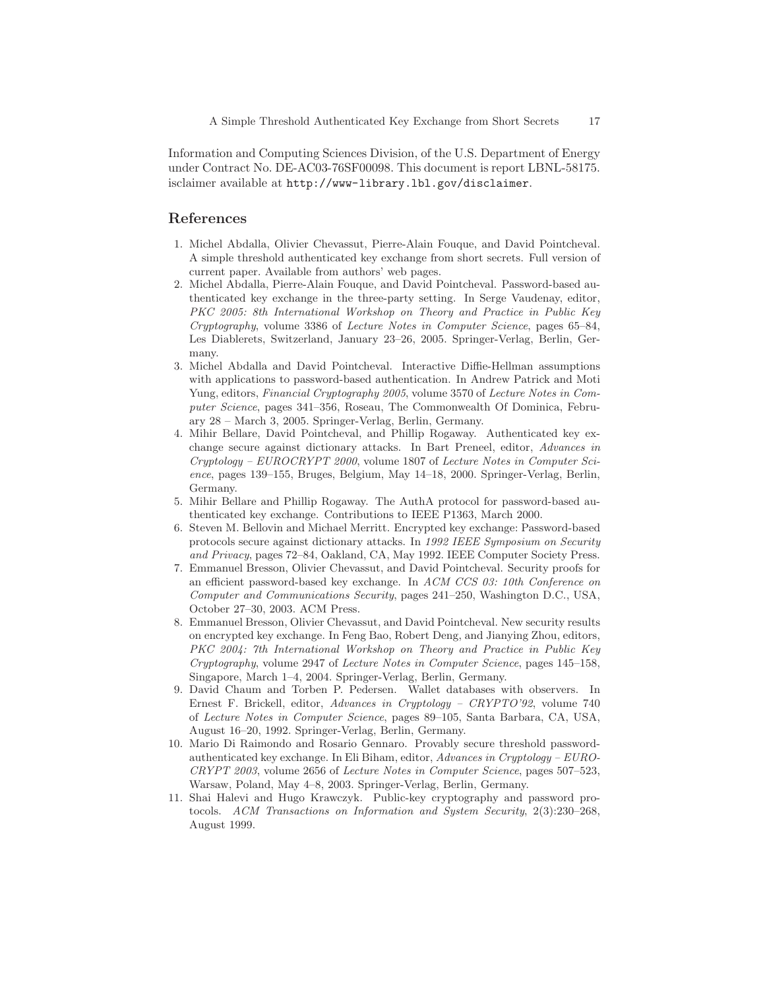Information and Computing Sciences Division, of the U.S. Department of Energy under Contract No. DE-AC03-76SF00098. This document is report LBNL-58175. isclaimer available at http://www-library.lbl.gov/disclaimer.

# References

- 1. Michel Abdalla, Olivier Chevassut, Pierre-Alain Fouque, and David Pointcheval. A simple threshold authenticated key exchange from short secrets. Full version of current paper. Available from authors' web pages.
- 2. Michel Abdalla, Pierre-Alain Fouque, and David Pointcheval. Password-based authenticated key exchange in the three-party setting. In Serge Vaudenay, editor, PKC 2005: 8th International Workshop on Theory and Practice in Public Key Cryptography, volume 3386 of Lecture Notes in Computer Science, pages 65–84, Les Diablerets, Switzerland, January 23–26, 2005. Springer-Verlag, Berlin, Germany.
- 3. Michel Abdalla and David Pointcheval. Interactive Diffie-Hellman assumptions with applications to password-based authentication. In Andrew Patrick and Moti Yung, editors, Financial Cryptography 2005, volume 3570 of Lecture Notes in Computer Science, pages 341–356, Roseau, The Commonwealth Of Dominica, February 28 – March 3, 2005. Springer-Verlag, Berlin, Germany.
- 4. Mihir Bellare, David Pointcheval, and Phillip Rogaway. Authenticated key exchange secure against dictionary attacks. In Bart Preneel, editor, Advances in Cryptology – EUROCRYPT 2000, volume 1807 of Lecture Notes in Computer Science, pages 139–155, Bruges, Belgium, May 14–18, 2000. Springer-Verlag, Berlin, Germany.
- 5. Mihir Bellare and Phillip Rogaway. The AuthA protocol for password-based authenticated key exchange. Contributions to IEEE P1363, March 2000.
- 6. Steven M. Bellovin and Michael Merritt. Encrypted key exchange: Password-based protocols secure against dictionary attacks. In 1992 IEEE Symposium on Security and Privacy, pages 72–84, Oakland, CA, May 1992. IEEE Computer Society Press.
- 7. Emmanuel Bresson, Olivier Chevassut, and David Pointcheval. Security proofs for an efficient password-based key exchange. In ACM CCS 03: 10th Conference on Computer and Communications Security, pages 241–250, Washington D.C., USA, October 27–30, 2003. ACM Press.
- 8. Emmanuel Bresson, Olivier Chevassut, and David Pointcheval. New security results on encrypted key exchange. In Feng Bao, Robert Deng, and Jianying Zhou, editors, PKC 2004: 7th International Workshop on Theory and Practice in Public Key Cryptography, volume 2947 of Lecture Notes in Computer Science, pages 145–158, Singapore, March 1–4, 2004. Springer-Verlag, Berlin, Germany.
- 9. David Chaum and Torben P. Pedersen. Wallet databases with observers. In Ernest F. Brickell, editor, Advances in Cryptology – CRYPTO'92, volume 740 of Lecture Notes in Computer Science, pages 89–105, Santa Barbara, CA, USA, August 16–20, 1992. Springer-Verlag, Berlin, Germany.
- 10. Mario Di Raimondo and Rosario Gennaro. Provably secure threshold passwordauthenticated key exchange. In Eli Biham, editor, Advances in Cryptology – EURO-CRYPT 2003, volume 2656 of Lecture Notes in Computer Science, pages 507–523, Warsaw, Poland, May 4–8, 2003. Springer-Verlag, Berlin, Germany.
- 11. Shai Halevi and Hugo Krawczyk. Public-key cryptography and password protocols. ACM Transactions on Information and System Security, 2(3):230–268, August 1999.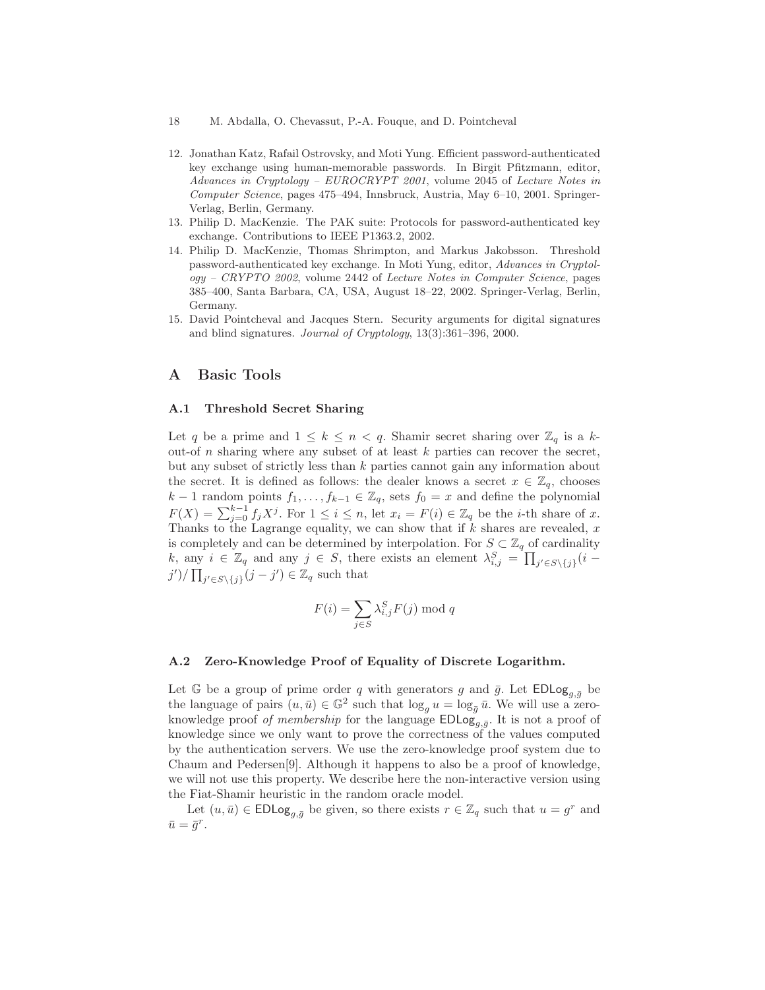- 18 M. Abdalla, O. Chevassut, P.-A. Fouque, and D. Pointcheval
- 12. Jonathan Katz, Rafail Ostrovsky, and Moti Yung. Efficient password-authenticated key exchange using human-memorable passwords. In Birgit Pfitzmann, editor, Advances in Cryptology – EUROCRYPT 2001, volume 2045 of Lecture Notes in Computer Science, pages 475–494, Innsbruck, Austria, May 6–10, 2001. Springer-Verlag, Berlin, Germany.
- 13. Philip D. MacKenzie. The PAK suite: Protocols for password-authenticated key exchange. Contributions to IEEE P1363.2, 2002.
- 14. Philip D. MacKenzie, Thomas Shrimpton, and Markus Jakobsson. Threshold password-authenticated key exchange. In Moti Yung, editor, Advances in Cryptology – CRYPTO 2002, volume 2442 of Lecture Notes in Computer Science, pages 385–400, Santa Barbara, CA, USA, August 18–22, 2002. Springer-Verlag, Berlin, Germany.
- 15. David Pointcheval and Jacques Stern. Security arguments for digital signatures and blind signatures. Journal of Cryptology, 13(3):361–396, 2000.

# A Basic Tools

#### A.1 Threshold Secret Sharing

Let q be a prime and  $1 \leq k \leq n < q$ . Shamir secret sharing over  $\mathbb{Z}_q$  is a kout-of  $n$  sharing where any subset of at least  $k$  parties can recover the secret, but any subset of strictly less than  $k$  parties cannot gain any information about the secret. It is defined as follows: the dealer knows a secret  $x \in \mathbb{Z}_q$ , chooses  $k-1$  random points  $f_1, \ldots, f_{k-1} \in \mathbb{Z}_q$ , sets  $f_0 = x$  and define the polynomial  $F(X) = \sum_{j=0}^{k-1} f_j X^j$ . For  $1 \leq i \leq n$ , let  $x_i = F(i) \in \mathbb{Z}_q$  be the *i*-th share of x. Thanks to the Lagrange equality, we can show that if  $k$  shares are revealed,  $x$ is completely and can be determined by interpolation. For  $S \subset \mathbb{Z}_q$  of cardinality k, any  $i \in \mathbb{Z}_q$  and any  $j \in S$ , there exists an element  $\lambda_{i,j}^S = \prod_{j' \in S \setminus \{j\}} (i$  $j'$ )  $\prod_{j' \in S \setminus \{j\}} (j - j') \in \mathbb{Z}_q$  such that

$$
F(i) = \sum_{j \in S} \lambda_{i,j}^{S} F(j) \bmod q
$$

### A.2 Zero-Knowledge Proof of Equality of Discrete Logarithm.

Let G be a group of prime order q with generators g and  $\bar{g}$ . Let EDLog<sub>g, $\bar{g}$ </sub> be the language of pairs  $(u, \bar{u}) \in \mathbb{G}^2$  such that  $\log_g u = \log_{\bar{g}} \bar{u}$ . We will use a zeroknowledge proof *of membership* for the language  $EDLog_{g,\bar{g}}$ . It is not a proof of knowledge since we only want to prove the correctness of the values computed by the authentication servers. We use the zero-knowledge proof system due to Chaum and Pedersen[9]. Although it happens to also be a proof of knowledge, we will not use this property. We describe here the non-interactive version using the Fiat-Shamir heuristic in the random oracle model.

Let  $(u, \bar{u}) \in \text{EDLog}_{g, \bar{g}}$  be given, so there exists  $r \in \mathbb{Z}_q$  such that  $u = g^r$  and  $\bar{u} = \bar{g}^r.$